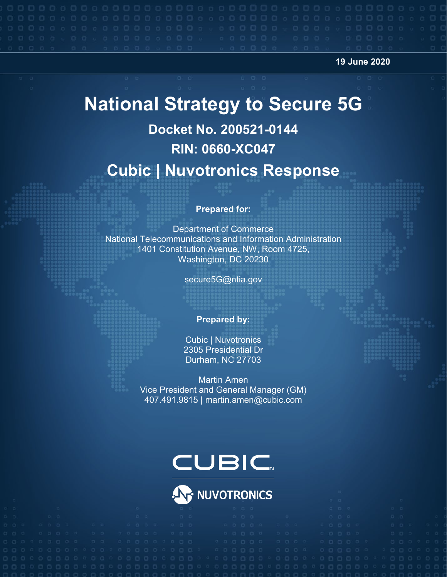**19 June 2020**

# **National Strategy to Secure 5G**

# **Docket No. 200521-0144 RIN: 0660-XC047 Cubic | Nuvotronics Response**

#### **Prepared for:**

Department of Commerce National Telecommunications and Information Administration 1401 Constitution Avenue, NW, Room 4725, Washington, DC 20230

secure5G@ntia.gov

#### **Prepared by:**

Cubic | Nuvotronics 2305 Presidential Dr Durham, NC 27703

Martin Amen Vice President and General Manager (GM) 407.491.9815 | martin.amen@cubic.com

# **CUBIC**

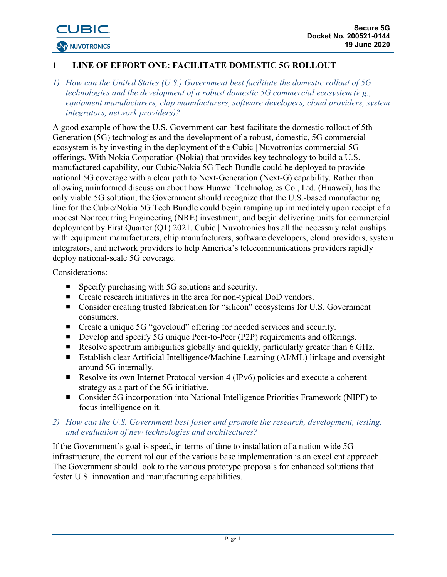### **1 LINE OF EFFORT ONE: FACILITATE DOMESTIC 5G ROLLOUT**

*1) How can the United States (U.S.) Government best facilitate the domestic rollout of 5G technologies and the development of a robust domestic 5G commercial ecosystem (e.g., equipment manufacturers, chip manufacturers, software developers, cloud providers, system integrators, network providers)?*

A good example of how the U.S. Government can best facilitate the domestic rollout of 5th Generation (5G) technologies and the development of a robust, domestic, 5G commercial ecosystem is by investing in the deployment of the Cubic | Nuvotronics commercial 5G offerings. With Nokia Corporation (Nokia) that provides key technology to build a U.S. manufactured capability, our Cubic/Nokia 5G Tech Bundle could be deployed to provide national 5G coverage with a clear path to Next-Generation (Next-G) capability. Rather than allowing uninformed discussion about how Huawei Technologies Co., Ltd. (Huawei), has the only viable 5G solution, the Government should recognize that the U.S.-based manufacturing line for the Cubic/Nokia 5G Tech Bundle could begin ramping up immediately upon receipt of a modest Nonrecurring Engineering (NRE) investment, and begin delivering units for commercial deployment by First Quarter (Q1) 2021. Cubic | Nuvotronics has all the necessary relationships with equipment manufacturers, chip manufacturers, software developers, cloud providers, system integrators, and network providers to help America's telecommunications providers rapidly deploy national-scale 5G coverage.

#### Considerations:

- Specify purchasing with 5G solutions and security.
- Create research initiatives in the area for non-typical DoD vendors.
- Consider creating trusted fabrication for "silicon" ecosystems for U.S. Government consumers.
- Create a unique 5G "govcloud" offering for needed services and security.
- Develop and specify 5G unique Peer-to-Peer (P2P) requirements and offerings.
- Resolve spectrum ambiguities globally and quickly, particularly greater than 6 GHz.
- Establish clear Artificial Intelligence/Machine Learning (AI/ML) linkage and oversight around 5G internally.
- Resolve its own Internet Protocol version 4 (IPv6) policies and execute a coherent strategy as a part of the 5G initiative.
- Consider 5G incorporation into National Intelligence Priorities Framework (NIPF) to focus intelligence on it.

#### *2) How can the U.S. Government best foster and promote the research, development, testing, and evaluation of new technologies and architectures?*

If the Government's goal is speed, in terms of time to installation of a nation-wide 5G infrastructure, the current rollout of the various base implementation is an excellent approach. The Government should look to the various prototype proposals for enhanced solutions that foster U.S. innovation and manufacturing capabilities.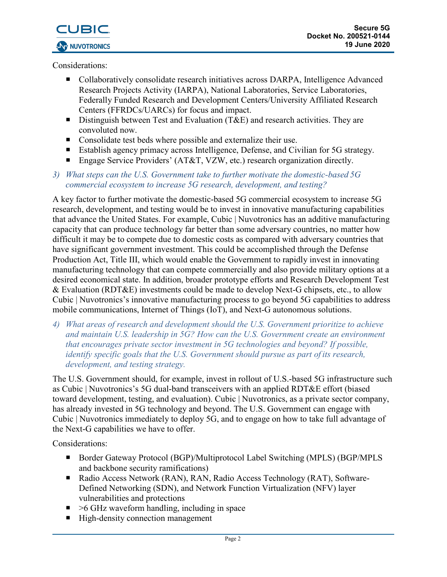

Considerations:

- Collaboratively consolidate research initiatives across DARPA, Intelligence Advanced Research Projects Activity (IARPA), National Laboratories, Service Laboratories, Federally Funded Research and Development Centers/University Affiliated Research Centers (FFRDCs/UARCs) for focus and impact.
- Distinguish between Test and Evaluation (T&E) and research activities. They are convoluted now.
- **Consolidate test beds where possible and externalize their use.**
- Establish agency primacy across Intelligence, Defense, and Civilian for 5G strategy.
- Engage Service Providers' (AT&T, VZW, etc.) research organization directly.

### *3) What steps can the U.S. Government take to further motivate the domestic-based 5G commercial ecosystem to increase 5G research, development, and testing?*

A key factor to further motivate the domestic-based 5G commercial ecosystem to increase 5G research, development, and testing would be to invest in innovative manufacturing capabilities that advance the United States. For example, Cubic | Nuvotronics has an additive manufacturing capacity that can produce technology far better than some adversary countries, no matter how difficult it may be to compete due to domestic costs as compared with adversary countries that have significant government investment. This could be accomplished through the Defense Production Act, Title III, which would enable the Government to rapidly invest in innovating manufacturing technology that can compete commercially and also provide military options at a desired economical state. In addition, broader prototype efforts and Research Development Test & Evaluation (RDT&E) investments could be made to develop Next-G chipsets, etc., to allow Cubic | Nuvotronics's innovative manufacturing process to go beyond 5G capabilities to address mobile communications, Internet of Things (IoT), and Next-G autonomous solutions.

*4) What areas of research and development should the U.S. Government prioritize to achieve and maintain U.S. leadership in 5G? How can the U.S. Government create an environment that encourages private sector investment in 5G technologies and beyond? If possible, identify specific goals that the U.S. Government should pursue as part of its research, development, and testing strategy.*

The U.S. Government should, for example, invest in rollout of U.S.-based 5G infrastructure such as Cubic | Nuvotronics's 5G dual-band transceivers with an applied RDT&E effort (biased toward development, testing, and evaluation). Cubic | Nuvotronics, as a private sector company, has already invested in 5G technology and beyond. The U.S. Government can engage with Cubic | Nuvotronics immediately to deploy 5G, and to engage on how to take full advantage of the Next-G capabilities we have to offer.

- Border Gateway Protocol (BGP)/Multiprotocol Label Switching (MPLS) (BGP/MPLS and backbone security ramifications)
- Radio Access Network (RAN), RAN, Radio Access Technology (RAT), Software-Defined Networking (SDN), and Network Function Virtualization (NFV) layer vulnerabilities and protections
- $\blacksquare$  >6 GHz waveform handling, including in space
- High-density connection management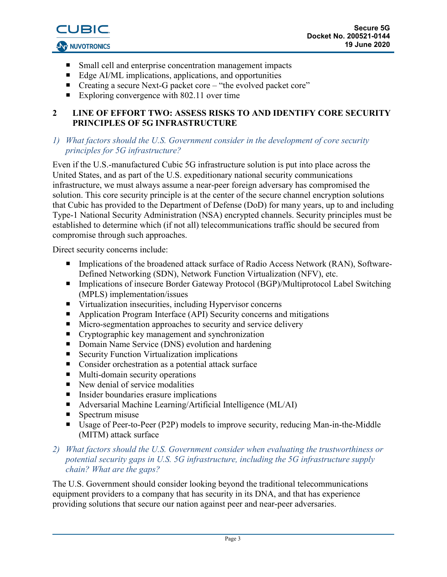- Small cell and enterprise concentration management impacts
- Edge AI/ML implications, applications, and opportunities
- Creating a secure Next-G packet core "the evolved packet core"
- Exploring convergence with 802.11 over time

## **2 LINE OF EFFORT TWO: ASSESS RISKS TO AND IDENTIFY CORE SECURITY PRINCIPLES OF 5G INFRASTRUCTURE**

#### *1) What factors should the U.S. Government consider in the development of core security principles for 5G infrastructure?*

Even if the U.S.-manufactured Cubic 5G infrastructure solution is put into place across the United States, and as part of the U.S. expeditionary national security communications infrastructure, we must always assume a near-peer foreign adversary has compromised the solution. This core security principle is at the center of the secure channel encryption solutions that Cubic has provided to the Department of Defense (DoD) for many years, up to and including Type-1 National Security Administration (NSA) encrypted channels. Security principles must be established to determine which (if not all) telecommunications traffic should be secured from compromise through such approaches.

Direct security concerns include:

- Implications of the broadened attack surface of Radio Access Network (RAN), Software-Defined Networking (SDN), Network Function Virtualization (NFV), etc.
- Implications of insecure Border Gateway Protocol (BGP)/Multiprotocol Label Switching (MPLS) implementation/issues
- Virtualization insecurities, including Hypervisor concerns
- **E** Application Program Interface (API) Security concerns and mitigations
- Micro-segmentation approaches to security and service delivery
- Cryptographic key management and synchronization
- Domain Name Service (DNS) evolution and hardening
- Security Function Virtualization implications
- Consider orchestration as a potential attack surface
- Multi-domain security operations
- $\blacksquare$  New denial of service modalities
- **Insider boundaries erasure implications**
- Adversarial Machine Learning/Artificial Intelligence (ML/AI)
- $\blacksquare$  Spectrum misuse
- Usage of Peer-to-Peer (P2P) models to improve security, reducing Man-in-the-Middle (MITM) attack surface

#### *2) What factors should the U.S. Government consider when evaluating the trustworthiness or potential security gaps in U.S. 5G infrastructure, including the 5G infrastructure supply chain? What are the gaps?*

The U.S. Government should consider looking beyond the traditional telecommunications equipment providers to a company that has security in its DNA, and that has experience providing solutions that secure our nation against peer and near-peer adversaries.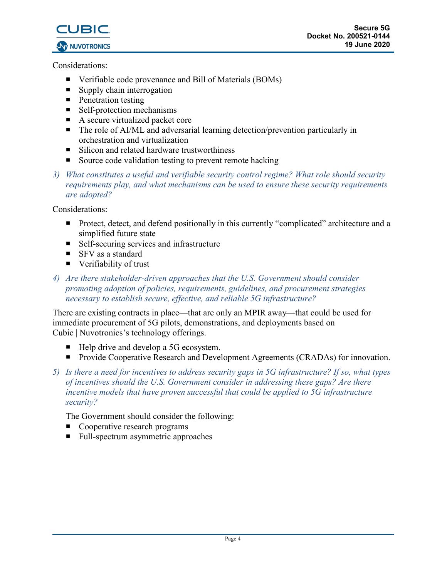

Considerations:

- Verifiable code provenance and Bill of Materials (BOMs)
- Supply chain interrogation
- **Penetration testing**
- Self-protection mechanisms
- A secure virtualized packet core
- The role of AI/ML and adversarial learning detection/prevention particularly in orchestration and virtualization
- Silicon and related hardware trustworthiness
- Source code validation testing to prevent remote hacking
- *3) What constitutes a useful and verifiable security control regime? What role should security requirements play, and what mechanisms can be used to ensure these security requirements are adopted?*

Considerations:

- **Protect, detect, and defend positionally in this currently "complicated" architecture and a** simplified future state
- Self-securing services and infrastructure
- SFV as a standard
- Verifiability of trust
- *4) Are there stakeholder-driven approaches that the U.S. Government should consider promoting adoption of policies, requirements, guidelines, and procurement strategies necessary to establish secure, effective, and reliable 5G infrastructure?*

There are existing contracts in place—that are only an MPIR away—that could be used for immediate procurement of 5G pilots, demonstrations, and deployments based on Cubic | Nuvotronics's technology offerings.

- Help drive and develop a 5G ecosystem.
- **Provide Cooperative Research and Development Agreements (CRADAs) for innovation.**
- *5) Is there a need for incentives to address security gaps in 5G infrastructure? If so, what types of incentives should the U.S. Government consider in addressing these gaps? Are there incentive models that have proven successful that could be applied to 5G infrastructure security?*

The Government should consider the following:

- Cooperative research programs
- Full-spectrum asymmetric approaches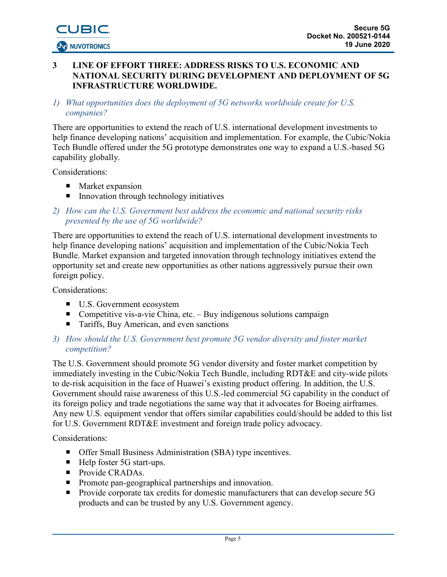#### **3 LINE OF EFFORT THREE: ADDRESS RISKS TO U.S. ECONOMIC AND NATIONAL SECURITY DURING DEVELOPMENT AND DEPLOYMENT OF 5G INFRASTRUCTURE WORLDWIDE.**

*1) What opportunities does the deployment of 5G networks worldwide create for U.S. companies?*

There are opportunities to extend the reach of U.S. international development investments to help finance developing nations' acquisition and implementation. For example, the Cubic/Nokia Tech Bundle offered under the 5G prototype demonstrates one way to expand a U.S.-based 5G capability globally.

Considerations:

- **Market expansion**
- $\blacksquare$  Innovation through technology initiatives

### *2) How can the U.S. Government best address the economic and national security risks presented by the use of 5G worldwide?*

There are opportunities to extend the reach of U.S. international development investments to help finance developing nations' acquisition and implementation of the Cubic/Nokia Tech Bundle. Market expansion and targeted innovation through technology initiatives extend the opportunity set and create new opportunities as other nations aggressively pursue their own foreign policy.

Considerations:

- U.S. Government ecosystem
- Competitive vis-a-vie China, etc. Buy indigenous solutions campaign
- Tariffs, Buy American, and even sanctions

### *3) How should the U.S. Government best promote 5G vendor diversity and foster market competition?*

The U.S. Government should promote 5G vendor diversity and foster market competition by immediately investing in the Cubic/Nokia Tech Bundle, including RDT&E and city-wide pilots to de-risk acquisition in the face of Huawei's existing product offering. In addition, the U.S. Government should raise awareness of this U.S.-led commercial 5G capability in the conduct of its foreign policy and trade negotiations the same way that it advocates for Boeing airframes. Any new U.S. equipment vendor that offers similar capabilities could/should be added to this list for U.S. Government RDT&E investment and foreign trade policy advocacy.

- Offer Small Business Administration (SBA) type incentives.
- $\blacksquare$  Help foster 5G start-ups.
- **Provide CRADAs.**
- **Promote pan-geographical partnerships and innovation.**
- **Provide corporate tax credits for domestic manufacturers that can develop secure 5G** products and can be trusted by any U.S. Government agency.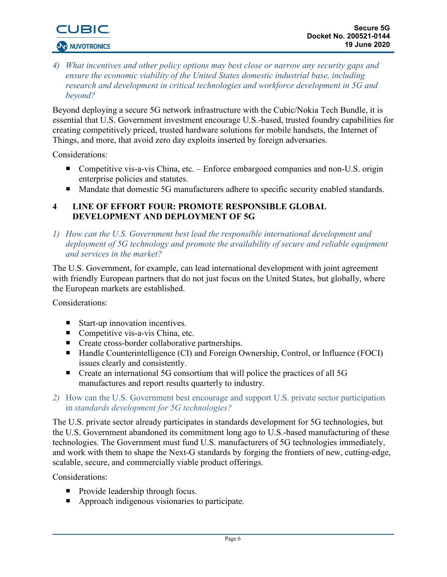

*4) What incentives and other policy options may best close or narrow any security gaps and ensure the economic viability of the United States domestic industrial base, including research and development in critical technologies and workforce development in 5G and beyond?*

Beyond deploying a secure 5G network infrastructure with the Cubic/Nokia Tech Bundle, it is essential that U.S. Government investment encourage U.S.-based, trusted foundry capabilities for creating competitively priced, trusted hardware solutions for mobile handsets, the Internet of Things, and more, that avoid zero day exploits inserted by foreign adversaries.

Considerations:

- Competitive vis-a-vis China, etc. Enforce embargoed companies and non-U.S. origin enterprise policies and statutes.
- Mandate that domestic 5G manufacturers adhere to specific security enabled standards.

#### **4 LINE OF EFFORT FOUR: PROMOTE RESPONSIBLE GLOBAL DEVELOPMENT AND DEPLOYMENT OF 5G**

*1) How can the U.S. Government best lead the responsible international development and deployment of 5G technology and promote the availability of secure and reliable equipment and services in the market?*

The U.S. Government, for example, can lead international development with joint agreement with friendly European partners that do not just focus on the United States, but globally, where the European markets are established.

Considerations:

- Start-up innovation incentives.
- Competitive vis-a-vis China, etc.
- Create cross-border collaborative partnerships.
- Handle Counterintelligence (CI) and Foreign Ownership, Control, or Influence (FOCI) issues clearly and consistently.
- Create an international 5G consortium that will police the practices of all 5G manufactures and report results quarterly to industry.
- *2)* How can the U.S. Government best encourage and support U.S. private sector participation in *standards development for 5G technologies?*

The U.S. private sector already participates in standards development for 5G technologies, but the U.S. Government abandoned its commitment long ago to U.S.-based manufacturing of these technologies. The Government must fund U.S. manufacturers of 5G technologies immediately, and work with them to shape the Next-G standards by forging the frontiers of new, cutting-edge, scalable, secure, and commercially viable product offerings.

- **Provide leadership through focus.**
- Approach indigenous visionaries to participate.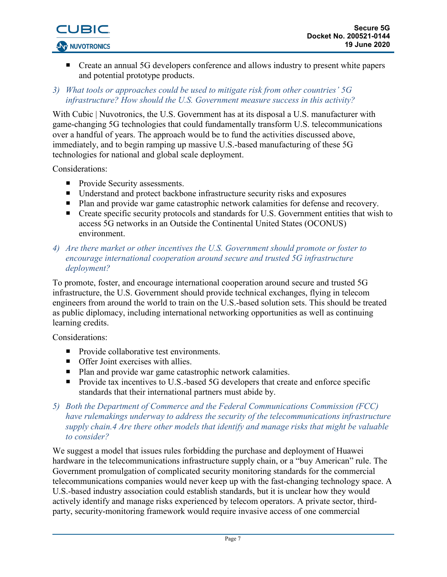

■ Create an annual 5G developers conference and allows industry to present white papers and potential prototype products.

#### *3) What tools or approaches could be used to mitigate risk from other countries' 5G infrastructure? How should the U.S. Government measure success in this activity?*

With Cubic | Nuvotronics, the U.S. Government has at its disposal a U.S. manufacturer with game-changing 5G technologies that could fundamentally transform U.S. telecommunications over a handful of years. The approach would be to fund the activities discussed above, immediately, and to begin ramping up massive U.S.-based manufacturing of these 5G technologies for national and global scale deployment.

Considerations:

- **Provide Security assessments.**
- Understand and protect backbone infrastructure security risks and exposures
- Plan and provide war game catastrophic network calamities for defense and recovery.
- Create specific security protocols and standards for U.S. Government entities that wish to access 5G networks in an Outside the Continental United States (OCONUS) environment.

#### *4) Are there market or other incentives the U.S. Government should promote or foster to encourage international cooperation around secure and trusted 5G infrastructure deployment?*

To promote, foster, and encourage international cooperation around secure and trusted 5G infrastructure, the U.S. Government should provide technical exchanges, flying in telecom engineers from around the world to train on the U.S.-based solution sets. This should be treated as public diplomacy, including international networking opportunities as well as continuing learning credits.

Considerations:

- Provide collaborative test environments.
- Offer Joint exercises with allies.
- Plan and provide war game catastrophic network calamities.
- **Provide tax incentives to U.S.-based 5G developers that create and enforce specific** standards that their international partners must abide by.
- *5) Both the Department of Commerce and the Federal Communications Commission (FCC) have rulemakings underway to address the security of the telecommunications infrastructure supply chain.4 Are there other models that identify and manage risks that might be valuable to consider?*

We suggest a model that issues rules forbidding the purchase and deployment of Huawei hardware in the telecommunications infrastructure supply chain, or a "buy American" rule. The Government promulgation of complicated security monitoring standards for the commercial telecommunications companies would never keep up with the fast-changing technology space. A U.S.-based industry association could establish standards, but it is unclear how they would actively identify and manage risks experienced by telecom operators. A private sector, thirdparty, security-monitoring framework would require invasive access of one commercial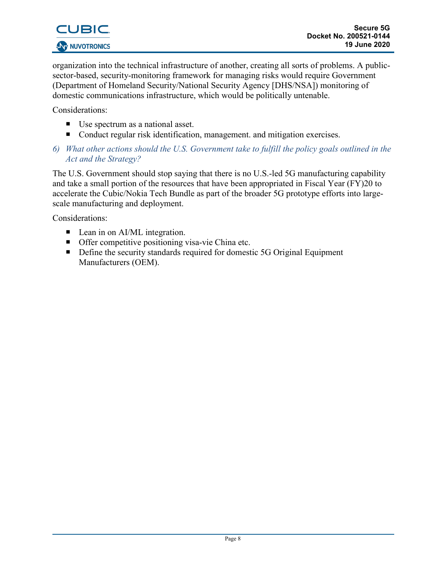

organization into the technical infrastructure of another, creating all sorts of problems. A publicsector-based, security-monitoring framework for managing risks would require Government (Department of Homeland Security/National Security Agency [DHS/NSA]) monitoring of domestic communications infrastructure, which would be politically untenable.

Considerations:

- Use spectrum as a national asset.
- Conduct regular risk identification, management. and mitigation exercises.
- *6) What other actions should the U.S. Government take to fulfill the policy goals outlined in the Act and the Strategy?*

The U.S. Government should stop saying that there is no U.S.-led 5G manufacturing capability and take a small portion of the resources that have been appropriated in Fiscal Year (FY)20 to accelerate the Cubic/Nokia Tech Bundle as part of the broader 5G prototype efforts into largescale manufacturing and deployment.

- Lean in on AI/ML integration.
- Offer competitive positioning visa-vie China etc.
- Define the security standards required for domestic 5G Original Equipment Manufacturers (OEM).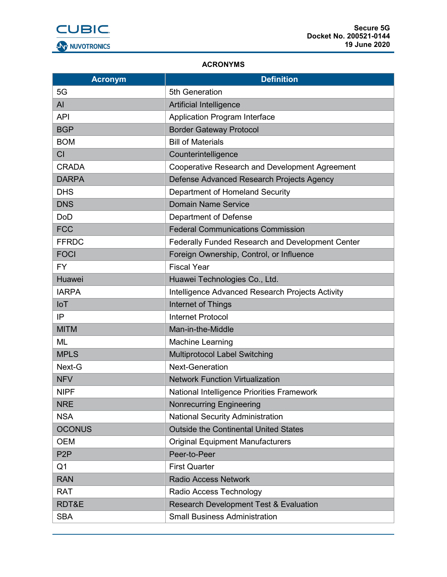

#### **ACRONYMS**

| <b>Acronym</b>   | <b>Definition</b>                                     |
|------------------|-------------------------------------------------------|
| 5G               | 5th Generation                                        |
| AI               | Artificial Intelligence                               |
| <b>API</b>       | Application Program Interface                         |
| <b>BGP</b>       | <b>Border Gateway Protocol</b>                        |
| <b>BOM</b>       | <b>Bill of Materials</b>                              |
| <b>CI</b>        | Counterintelligence                                   |
| <b>CRADA</b>     | <b>Cooperative Research and Development Agreement</b> |
| <b>DARPA</b>     | Defense Advanced Research Projects Agency             |
| <b>DHS</b>       | Department of Homeland Security                       |
| <b>DNS</b>       | <b>Domain Name Service</b>                            |
| <b>DoD</b>       | Department of Defense                                 |
| <b>FCC</b>       | <b>Federal Communications Commission</b>              |
| <b>FFRDC</b>     | Federally Funded Research and Development Center      |
| <b>FOCI</b>      | Foreign Ownership, Control, or Influence              |
| <b>FY</b>        | <b>Fiscal Year</b>                                    |
| Huawei           | Huawei Technologies Co., Ltd.                         |
| <b>IARPA</b>     | Intelligence Advanced Research Projects Activity      |
| <b>IoT</b>       | Internet of Things                                    |
| IP               | <b>Internet Protocol</b>                              |
| <b>MITM</b>      | Man-in-the-Middle                                     |
| <b>ML</b>        | <b>Machine Learning</b>                               |
| <b>MPLS</b>      | <b>Multiprotocol Label Switching</b>                  |
| Next-G           | <b>Next-Generation</b>                                |
| <b>NFV</b>       | <b>Network Function Virtualization</b>                |
| <b>NIPF</b>      | National Intelligence Priorities Framework            |
| <b>NRE</b>       | <b>Nonrecurring Engineering</b>                       |
| <b>NSA</b>       | <b>National Security Administration</b>               |
| <b>OCONUS</b>    | <b>Outside the Continental United States</b>          |
| <b>OEM</b>       | <b>Original Equipment Manufacturers</b>               |
| P <sub>2</sub> P | Peer-to-Peer                                          |
| Q <sub>1</sub>   | <b>First Quarter</b>                                  |
| <b>RAN</b>       | <b>Radio Access Network</b>                           |
| <b>RAT</b>       | Radio Access Technology                               |
| RDT&E            | <b>Research Development Test &amp; Evaluation</b>     |
| <b>SBA</b>       | <b>Small Business Administration</b>                  |